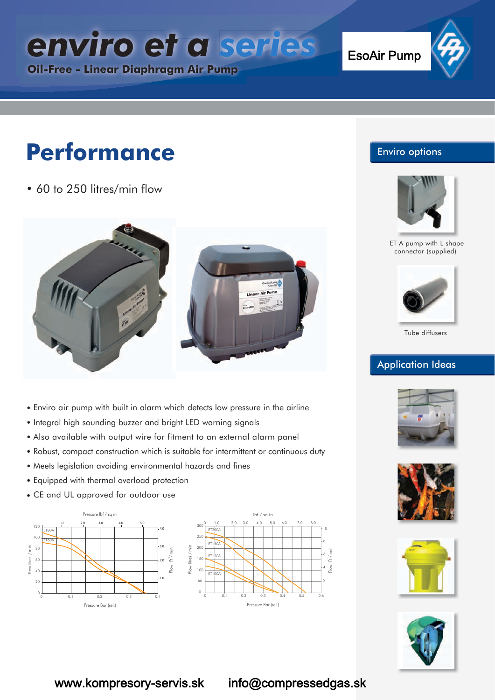*enviro et a series en iro e* 

**Oil-Free - Linear Diaphragm Air Pump**

EsoAir Pump

# **Performance**

• 60 to 250 litres/min flow



- Enviro air pump with built in alarm which detects low pressure in the airline
- Integral high sounding buzzer and bright LED warning signals
- Also available with output wire for fitment to an external alarm panel
- Robust, compact construction which is suitable for intermittent or continuous duty
- Meets legislation avoiding environmental hazards and fines
- Equipped with thermal overload protection
- CE and UL approved for outdoor use





#### Enviro options



ET A pump with L shape connector (supplied)



Tube diffusers

#### Application Ideas









www.kompresory-servis.sk info@compressedgas.sk